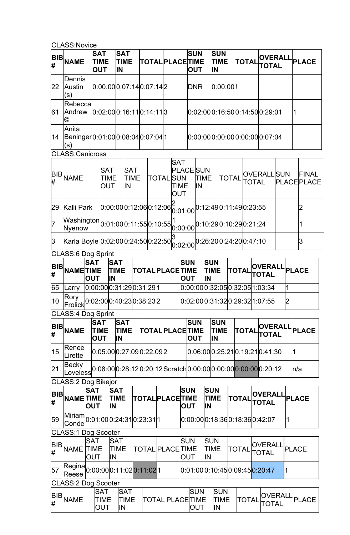CLASS:Novice

|                            | <b>BIB</b> NAME                                                    | <b>SAT</b>                                                                             | <b>TIME</b><br><b>OUT</b>        | <b>SAT</b><br><b>TIME</b><br>IN |  | <b>TOTAL PLACE TIME</b>   |                  |  |                           | <b>SUN</b><br><b>OUT</b>              |                                 |                  | <b>SUN</b><br><b>TIME</b><br>IN                          |                                 | <b>TOTAL</b>                                                                                               |  | TOTAL                                                           |   |    | OVERALL PLACE                      |  |
|----------------------------|--------------------------------------------------------------------|----------------------------------------------------------------------------------------|----------------------------------|---------------------------------|--|---------------------------|------------------|--|---------------------------|---------------------------------------|---------------------------------|------------------|----------------------------------------------------------|---------------------------------|------------------------------------------------------------------------------------------------------------|--|-----------------------------------------------------------------|---|----|------------------------------------|--|
| 22                         | Dennis<br>Austin<br>(s)                                            |                                                                                        |                                  |                                 |  | [0:00:000:07:14]0:07:14]2 |                  |  |                           |                                       | <b>DNR</b>                      |                  | 0:00:00 !                                                |                                 |                                                                                                            |  |                                                                 |   |    |                                    |  |
| 61                         | Rebecca<br>Andrew<br>⊚                                             |                                                                                        |                                  |                                 |  | 0.02.00 0.16.11 0.14.11 3 |                  |  |                           |                                       | 0.02.00 0.16.50 0.14.50 0.29.01 |                  |                                                          |                                 |                                                                                                            |  |                                                                 |   | 1  |                                    |  |
| 14                         | Anita<br>(s)                                                       | Beninger0:01:000:08:040:07:041                                                         |                                  |                                 |  |                           |                  |  |                           |                                       |                                 |                  |                                                          |                                 |                                                                                                            |  | 0.00:00 0:00:00 0:00:00 0:07:04                                 |   |    |                                    |  |
|                            | <b>CLASS:Canicross</b>                                             |                                                                                        |                                  |                                 |  |                           |                  |  |                           |                                       |                                 |                  |                                                          |                                 |                                                                                                            |  |                                                                 |   |    |                                    |  |
| BIB<br>#                   | SAT<br><b>NAME</b><br><b>TIME</b><br>OUT                           |                                                                                        |                                  | <b>SAT</b><br><b>TIME</b><br>IN |  |                           | <b>TOTAL SUN</b> |  | <b>SAT</b><br>TIME<br>OUT | <b>PLACE</b> SUN<br><b>TIME</b><br>IN |                                 |                  | <b>TOTAL</b>                                             |                                 | <b>TOTAL</b>                                                                                               |  | <b>OVERALLISUN</b>                                              |   |    | <b>FINAL</b><br><b>PLACE PLACE</b> |  |
| 29                         | Kalli Park                                                         |                                                                                        |                                  |                                 |  |                           |                  |  |                           |                                       |                                 |                  |                                                          |                                 | $[0.00.00]0.12.06]0.12.06\begin{bmatrix} 6 & 0.1 & 0.0 \ 0.01 & 0.0 \end{bmatrix} 0.12.49]0.11.49]0.23.55$ |  |                                                                 |   |    | $\overline{2}$                     |  |
| 7                          | Nyenow                                                             | $\overline{\mathsf{W}}$ ashington $\vert_{0:01:00}\vert_{0:11:55}\vert_{0:10:55}\vert$ |                                  |                                 |  |                           |                  |  |                           |                                       |                                 |                  |                                                          | 0.00000 0.10.29 0.10.29 0.21.24 |                                                                                                            |  |                                                                 |   |    | 1                                  |  |
| 3                          | Karla Boyle 0.02.000.24.500.22.50                                  |                                                                                        |                                  |                                 |  |                           |                  |  | lЗ                        |                                       |                                 |                  | $\vert_{0.02:00}^{\sim} \vert_{0.26:20}$ 0:24:20 0:47:10 |                                 |                                                                                                            |  |                                                                 |   |    | З                                  |  |
|                            | <b>CLASS:6 Dog Sprint</b>                                          | <b>SAT</b>                                                                             | <b>SAT</b>                       |                                 |  |                           |                  |  |                           | <b>SUN</b>                            |                                 | <b>SUN</b>       |                                                          |                                 |                                                                                                            |  |                                                                 |   |    |                                    |  |
| <b>BIB</b><br>#            | <b>NAMETIME</b>                                                    | <b>OUT</b>                                                                             | ΙN                               | <b>TIME</b>                     |  | <b>TOTAL PLACE TIME</b>   |                  |  |                           | <b>OUT</b>                            |                                 | ΙN               | <b>TIME</b>                                              |                                 | <b>TOTAL</b>                                                                                               |  | <b>OVERALL</b><br><b>TOTAL</b>                                  |   |    | <b>PLACE</b>                       |  |
| 65                         | Larry                                                              |                                                                                        | [0:00:00]0:31:29]0:31:29]1       |                                 |  |                           |                  |  |                           |                                       |                                 |                  |                                                          |                                 |                                                                                                            |  | 0:00:000:32:050:32:05 1:03:34                                   |   | 1  |                                    |  |
| 10                         | $ 1.819 $ (0.02.000.40.230.38.232)                                 |                                                                                        |                                  |                                 |  |                           |                  |  |                           |                                       |                                 |                  |                                                          |                                 |                                                                                                            |  | 0:02:000:31:320:29:32 1:07:55                                   |   | 2  |                                    |  |
|                            | <b>CLASS:4 Dog Sprint</b>                                          |                                                                                        |                                  |                                 |  |                           |                  |  |                           |                                       |                                 |                  |                                                          |                                 |                                                                                                            |  |                                                                 |   |    |                                    |  |
| BIB<br>#                   | <b>NAME</b>                                                        | <b>SAT</b><br><b>OUT</b>                                                               | TIME                             | <b>SAT</b><br><b>TIME</b><br>IN |  | <b>TOTAL PLACE TIME</b>   |                  |  |                           | <b>SUN</b><br><b>OUT</b>              |                                 |                  | <b>SUN</b><br><b>TIME</b><br>IN                          |                                 | TOTAL                                                                                                      |  | <b>OVERALI</b><br>TOTAL                                         |   |    | <b>PLACE</b>                       |  |
| 15                         | Renee<br>Lirette                                                   |                                                                                        | 0:05:000:27:090:22:092           |                                 |  |                           |                  |  |                           |                                       |                                 |                  |                                                          |                                 |                                                                                                            |  | 0.06.000.25.210.19.210.41.30                                    |   | 1  |                                    |  |
| 21                         | Becky<br>Loveless                                                  |                                                                                        |                                  |                                 |  |                           |                  |  |                           |                                       |                                 |                  |                                                          |                                 |                                                                                                            |  | 0:08:00 0:28:12 0:20:12 Scratch 0:00:00 0:00:00 0:00:00 0:20:12 |   |    | n/a                                |  |
| <b>BIB</b><br>#            | <b>CLASS:2 Dog Bikejor</b><br><b>NAMETIME</b>                      | <b>SAT</b><br><b>OUT</b>                                                               | <b>IN</b>                        | <b>SAT</b><br><b>TIME</b>       |  | <b>TOTAL PLACE TIME</b>   |                  |  |                           | <b>SUN</b><br><b>OUT</b>              |                                 | <b>SUN</b><br>IN | <b>TIME</b>                                              |                                 | TOTAI                                                                                                      |  | <b>OVERALL</b><br>TOTAL                                         |   |    | <b>PLACE</b>                       |  |
| 59                         | $\frac{1}{2}$ Miriam $\frac{1}{2}$ 0.01.000.24.310.23.311<br>Conde |                                                                                        |                                  |                                 |  |                           |                  |  |                           |                                       |                                 |                  |                                                          |                                 |                                                                                                            |  | 0:00:000:18:360:18:360:42:07                                    |   | 11 |                                    |  |
|                            | <b>CLASS:1 Dog Scooter</b>                                         |                                                                                        |                                  |                                 |  |                           |                  |  |                           |                                       |                                 |                  |                                                          |                                 |                                                                                                            |  |                                                                 |   |    |                                    |  |
| <b>BIB</b><br>#            | <b>NAME</b>                                                        | <b>SAT</b><br>TIME<br><b>OUT</b>                                                       | IN                               | <b>SAT</b><br><b>TIME</b>       |  | <b>TOTAL PLACE TIME</b>   |                  |  |                           | <b>SUN</b><br><b>OUT</b>              |                                 | <b>SUN</b><br>IN | <b>TIME</b>                                              |                                 | TOTAL                                                                                                      |  | <b>OVERALL</b><br>TOTAL                                         |   |    | <b>PLACE</b>                       |  |
| 57                         | Regina 0:00:00 0:11:02 0:11:02 1<br>Reese                          |                                                                                        |                                  |                                 |  |                           |                  |  |                           |                                       |                                 |                  |                                                          |                                 |                                                                                                            |  | 0:01:000:10:450:09:45 <mark>0:20:47</mark>                      | 1 |    |                                    |  |
| <b>CLASS:2 Dog Scooter</b> |                                                                    |                                                                                        |                                  |                                 |  |                           |                  |  |                           |                                       |                                 |                  |                                                          |                                 |                                                                                                            |  |                                                                 |   |    |                                    |  |
| <b>BIB</b><br>#            | <b>NAME</b>                                                        |                                                                                        | <b>SAT</b><br>TIME<br><b>OUT</b> | <b>SAT</b><br>TIME<br>IN        |  | <b>TOTAL PLACE TIME</b>   |                  |  |                           |                                       | <b>SUN</b><br><b>OUT</b>        |                  | <b>SUN</b><br>TIME<br>IN                                 |                                 | TOTAL                                                                                                      |  | <b>OVERALL</b><br><b>TOTAL</b>                                  |   |    | <b>PLACE</b>                       |  |